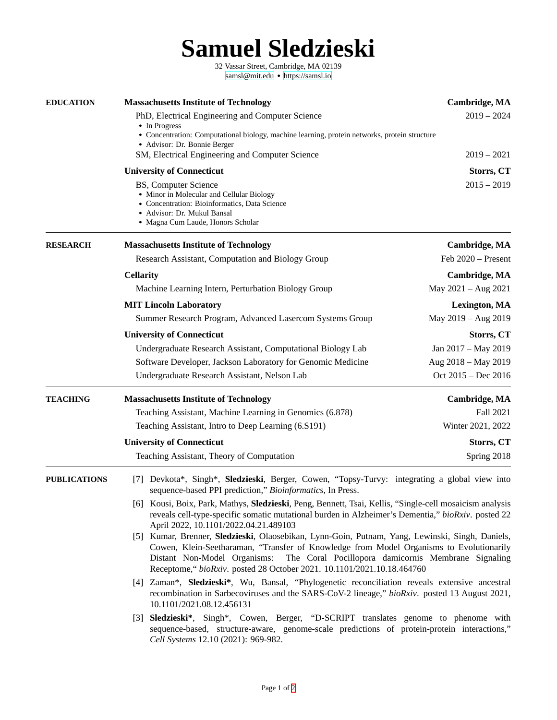**Samuel Sledzieski**

32 Vassar Street, Cambridge, MA 02139 [samsl@mit.edu](mailto:samsl@mit.edu) ● <https://samsl.io>

<span id="page-0-0"></span>

| <b>EDUCATION</b>    | <b>Massachusetts Institute of Technology</b>                                                                                                                                                                                                                                                                                                                | Cambridge, MA        |  |
|---------------------|-------------------------------------------------------------------------------------------------------------------------------------------------------------------------------------------------------------------------------------------------------------------------------------------------------------------------------------------------------------|----------------------|--|
|                     | PhD, Electrical Engineering and Computer Science<br>• In Progress                                                                                                                                                                                                                                                                                           | $2019 - 2024$        |  |
|                     | • Concentration: Computational biology, machine learning, protein networks, protein structure<br>• Advisor: Dr. Bonnie Berger                                                                                                                                                                                                                               |                      |  |
|                     | SM, Electrical Engineering and Computer Science                                                                                                                                                                                                                                                                                                             | $2019 - 2021$        |  |
|                     | <b>University of Connecticut</b>                                                                                                                                                                                                                                                                                                                            | Storrs, CT           |  |
|                     | <b>BS, Computer Science</b><br>• Minor in Molecular and Cellular Biology<br>• Concentration: Bioinformatics, Data Science<br>• Advisor: Dr. Mukul Bansal<br>• Magna Cum Laude, Honors Scholar                                                                                                                                                               | $2015 - 2019$        |  |
| <b>RESEARCH</b>     | <b>Massachusetts Institute of Technology</b>                                                                                                                                                                                                                                                                                                                | Cambridge, MA        |  |
|                     | Research Assistant, Computation and Biology Group                                                                                                                                                                                                                                                                                                           | Feb 2020 - Present   |  |
|                     | <b>Cellarity</b>                                                                                                                                                                                                                                                                                                                                            | <b>Cambridge, MA</b> |  |
|                     | Machine Learning Intern, Perturbation Biology Group                                                                                                                                                                                                                                                                                                         | May 2021 - Aug 2021  |  |
|                     | <b>MIT Lincoln Laboratory</b>                                                                                                                                                                                                                                                                                                                               | <b>Lexington, MA</b> |  |
|                     | Summer Research Program, Advanced Lasercom Systems Group                                                                                                                                                                                                                                                                                                    | May 2019 - Aug 2019  |  |
|                     | <b>University of Connecticut</b>                                                                                                                                                                                                                                                                                                                            | Storrs, CT           |  |
|                     | Undergraduate Research Assistant, Computational Biology Lab                                                                                                                                                                                                                                                                                                 | Jan 2017 - May 2019  |  |
|                     | Software Developer, Jackson Laboratory for Genomic Medicine                                                                                                                                                                                                                                                                                                 | Aug 2018 - May 2019  |  |
|                     | Undergraduate Research Assistant, Nelson Lab                                                                                                                                                                                                                                                                                                                | Oct 2015 - Dec 2016  |  |
| <b>TEACHING</b>     | <b>Massachusetts Institute of Technology</b>                                                                                                                                                                                                                                                                                                                | Cambridge, MA        |  |
|                     | Teaching Assistant, Machine Learning in Genomics (6.878)                                                                                                                                                                                                                                                                                                    | Fall 2021            |  |
|                     | Teaching Assistant, Intro to Deep Learning (6.S191)                                                                                                                                                                                                                                                                                                         | Winter 2021, 2022    |  |
|                     | <b>University of Connecticut</b>                                                                                                                                                                                                                                                                                                                            | Storrs, CT           |  |
|                     | Teaching Assistant, Theory of Computation                                                                                                                                                                                                                                                                                                                   | Spring 2018          |  |
| <b>PUBLICATIONS</b> | [7] Devkota*, Singh*, Sledzieski, Berger, Cowen, "Topsy-Turvy: integrating a global view into<br>sequence-based PPI prediction," Bioinformatics, In Press.                                                                                                                                                                                                  |                      |  |
|                     | [6] Kousi, Boix, Park, Mathys, Sledzieski, Peng, Bennett, Tsai, Kellis, "Single-cell mosaicism analysis<br>reveals cell-type-specific somatic mutational burden in Alzheimer's Dementia," bioRxiv. posted 22<br>April 2022, 10.1101/2022.04.21.489103                                                                                                       |                      |  |
|                     | [5] Kumar, Brenner, Sledzieski, Olaosebikan, Lynn-Goin, Putnam, Yang, Lewinski, Singh, Daniels,<br>Cowen, Klein-Seetharaman, "Transfer of Knowledge from Model Organisms to Evolutionarily<br>Distant Non-Model Organisms:<br>The Coral Pocillopora damicornis Membrane Signaling<br>Receptome," bioRxiv. posted 28 October 2021. 10.1101/2021.10.18.464760 |                      |  |
|                     | [4] Zaman*, Sledzieski*, Wu, Bansal, "Phylogenetic reconciliation reveals extensive ancestral<br>recombination in Sarbecoviruses and the SARS-CoV-2 lineage," bioRxiv. posted 13 August 2021,<br>10.1101/2021.08.12.456131                                                                                                                                  |                      |  |
|                     | [3] Sledzieski*, Singh*, Cowen, Berger, "D-SCRIPT translates genome to phenome with<br>sequence-based, structure-aware, genome-scale predictions of protein-protein interactions,"<br>Cell Systems 12.10 (2021): 969-982.                                                                                                                                   |                      |  |